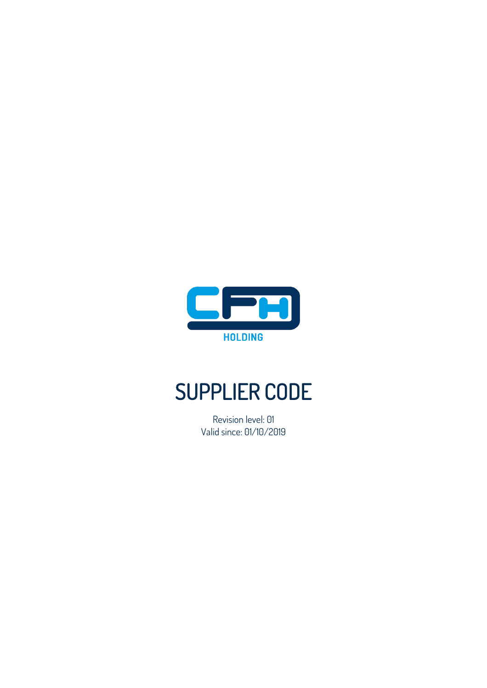

# SUPPLIER CODE

Revision level: 01 Valid since: 01/10/2019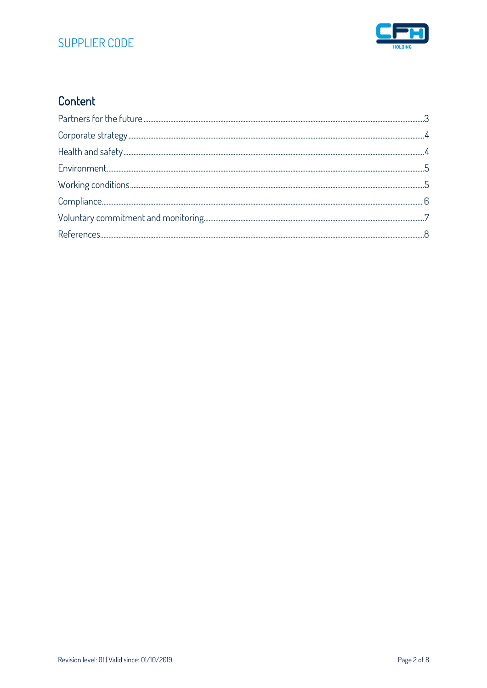# SUPPLIER CODE



# Content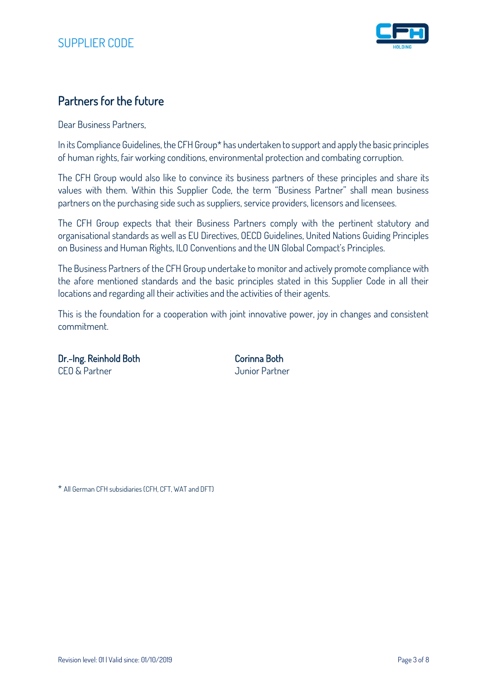

## Partners for the future

Dear Business Partners,

In its Compliance Guidelines, the CFH Group\* has undertaken to support and apply the basic principles of human rights, fair working conditions, environmental protection and combating corruption.

The CFH Group would also like to convince its business partners of these principles and share its values with them. Within this Supplier Code, the term "Business Partner" shall mean business partners on the purchasing side such as suppliers, service providers, licensors and licensees.

The CFH Group expects that their Business Partners comply with the pertinent statutory and organisational standards as well as EU Directives, OECD Guidelines, United Nations Guiding Principles on Business and Human Rights, ILO Conventions and the UN Global Compact's Principles.

The Business Partners of the CFH Group undertake to monitor and actively promote compliance with the afore mentioned standards and the basic principles stated in this Supplier Code in all their locations and regarding all their activities and the activities of their agents.

This is the foundation for a cooperation with joint innovative power, joy in changes and consistent commitment.

Dr.-Ing. Reinhold Both Corinna Both CEO & Partner Junior Partner

\* All German CFH subsidiaries (CFH, CFT, WAT and DFT)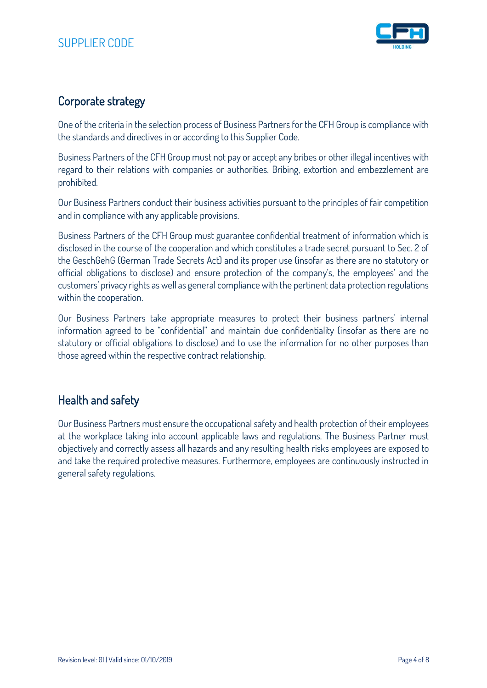

# Corporate strategy

One of the criteria in the selection process of Business Partners for the CFH Group is compliance with the standards and directives in or according to this Supplier Code.

Business Partners of the CFH Group must not pay or accept any bribes or other illegal incentives with regard to their relations with companies or authorities. Bribing, extortion and embezzlement are prohibited.

Our Business Partners conduct their business activities pursuant to the principles of fair competition and in compliance with any applicable provisions.

Business Partners of the CFH Group must guarantee confidential treatment of information which is disclosed in the course of the cooperation and which constitutes a trade secret pursuant to Sec. 2 of the GeschGehG (German Trade Secrets Act) and its proper use (insofar as there are no statutory or official obligations to disclose) and ensure protection of the company's, the employees' and the customers' privacy rights as well as general compliance with the pertinent data protection regulations within the cooperation.

Our Business Partners take appropriate measures to protect their business partners' internal information agreed to be "confidential" and maintain due confidentiality (insofar as there are no statutory or official obligations to disclose) and to use the information for no other purposes than those agreed within the respective contract relationship.

## Health and safety

Our Business Partners must ensure the occupational safety and health protection of their employees at the workplace taking into account applicable laws and regulations. The Business Partner must objectively and correctly assess all hazards and any resulting health risks employees are exposed to and take the required protective measures. Furthermore, employees are continuously instructed in general safety regulations.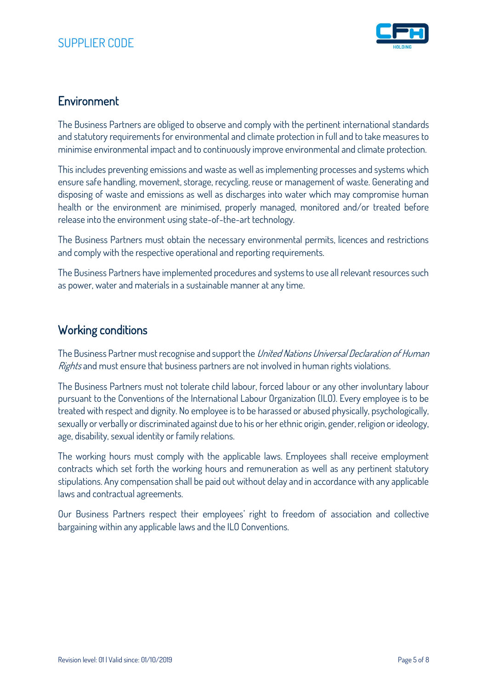

#### **Environment**

The Business Partners are obliged to observe and comply with the pertinent international standards and statutory requirements for environmental and climate protection in full and to take measures to minimise environmental impact and to continuously improve environmental and climate protection.

This includes preventing emissions and waste as well as implementing processes and systems which ensure safe handling, movement, storage, recycling, reuse or management of waste. Generating and disposing of waste and emissions as well as discharges into water which may compromise human health or the environment are minimised, properly managed, monitored and/or treated before release into the environment using state-of-the-art technology.

The Business Partners must obtain the necessary environmental permits, licences and restrictions and comply with the respective operational and reporting requirements.

The Business Partners have implemented procedures and systems to use all relevant resources such as power, water and materials in a sustainable manner at any time.

#### Working conditions

The Business Partner must recognise and support the United Nations Universal Declaration of Human Rights and must ensure that business partners are not involved in human rights violations.

The Business Partners must not tolerate child labour, forced labour or any other involuntary labour pursuant to the Conventions of the International Labour Organization (ILO). Every employee is to be treated with respect and dignity. No employee is to be harassed or abused physically, psychologically, sexually or verbally or discriminated against due to his or her ethnic origin, gender, religion or ideology, age, disability, sexual identity or family relations.

The working hours must comply with the applicable laws. Employees shall receive employment contracts which set forth the working hours and remuneration as well as any pertinent statutory stipulations. Any compensation shall be paid out without delay and in accordance with any applicable laws and contractual agreements.

Our Business Partners respect their employees' right to freedom of association and collective bargaining within any applicable laws and the ILO Conventions.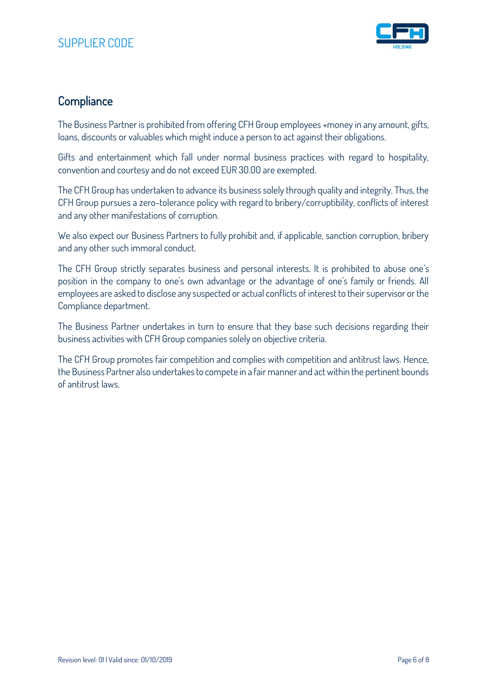

#### **Compliance**

The Business Partner is prohibited from offering CFH Group employees +money in any amount, gifts, loans, discounts or valuables which might induce a person to act against their obligations.

Gifts and entertainment which fall under normal business practices with regard to hospitality, convention and courtesy and do not exceed EUR 30.00 are exempted.

The CFH Group has undertaken to advance its business solely through quality and integrity. Thus, the CFH Group pursues a zero-tolerance policy with regard to bribery/corruptibility, conflicts of interest and any other manifestations of corruption.

We also expect our Business Partners to fully prohibit and, if applicable, sanction corruption, bribery and any other such immoral conduct.

The CFH Group strictly separates business and personal interests. It is prohibited to abuse one's position in the company to one's own advantage or the advantage of one's family or friends. All employees are asked to disclose any suspected or actual conflicts of interest to their supervisor or the Compliance department.

The Business Partner undertakes in turn to ensure that they base such decisions regarding their business activities with CFH Group companies solely on objective criteria.

The CFH Group promotes fair competition and complies with competition and antitrust laws. Hence, the Business Partner also undertakes to compete in a fair manner and act within the pertinent bounds of antitrust laws.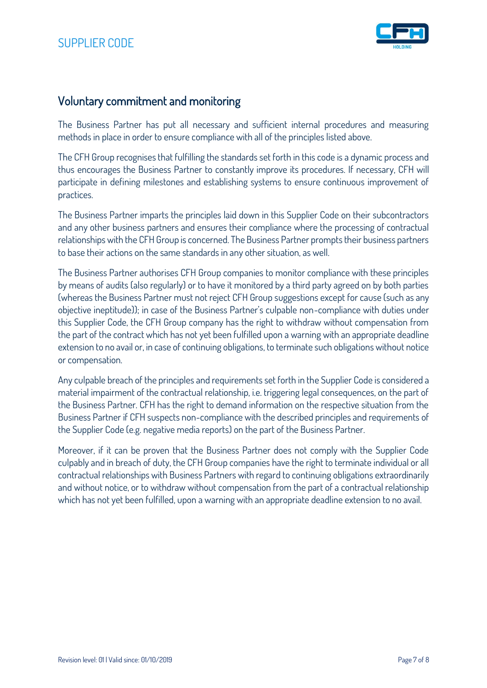

#### Voluntary commitment and monitoring

The Business Partner has put all necessary and sufficient internal procedures and measuring methods in place in order to ensure compliance with all of the principles listed above.

The CFH Group recognises that fulfilling the standards set forth in this code is a dynamic process and thus encourages the Business Partner to constantly improve its procedures. If necessary, CFH will participate in defining milestones and establishing systems to ensure continuous improvement of practices.

The Business Partner imparts the principles laid down in this Supplier Code on their subcontractors and any other business partners and ensures their compliance where the processing of contractual relationships with the CFH Group is concerned. The Business Partner prompts their business partners to base their actions on the same standards in any other situation, as well.

The Business Partner authorises CFH Group companies to monitor compliance with these principles by means of audits (also regularly) or to have it monitored by a third party agreed on by both parties (whereas the Business Partner must not reject CFH Group suggestions except for cause (such as any objective ineptitude)); in case of the Business Partner's culpable non-compliance with duties under this Supplier Code, the CFH Group company has the right to withdraw without compensation from the part of the contract which has not yet been fulfilled upon a warning with an appropriate deadline extension to no avail or, in case of continuing obligations, to terminate such obligations without notice or compensation.

Any culpable breach of the principles and requirements set forth in the Supplier Code is considered a material impairment of the contractual relationship, i.e. triggering legal consequences, on the part of the Business Partner. CFH has the right to demand information on the respective situation from the Business Partner if CFH suspects non-compliance with the described principles and requirements of the Supplier Code (e.g. negative media reports) on the part of the Business Partner.

Moreover, if it can be proven that the Business Partner does not comply with the Supplier Code culpably and in breach of duty, the CFH Group companies have the right to terminate individual or all contractual relationships with Business Partners with regard to continuing obligations extraordinarily and without notice, or to withdraw without compensation from the part of a contractual relationship which has not yet been fulfilled, upon a warning with an appropriate deadline extension to no avail.